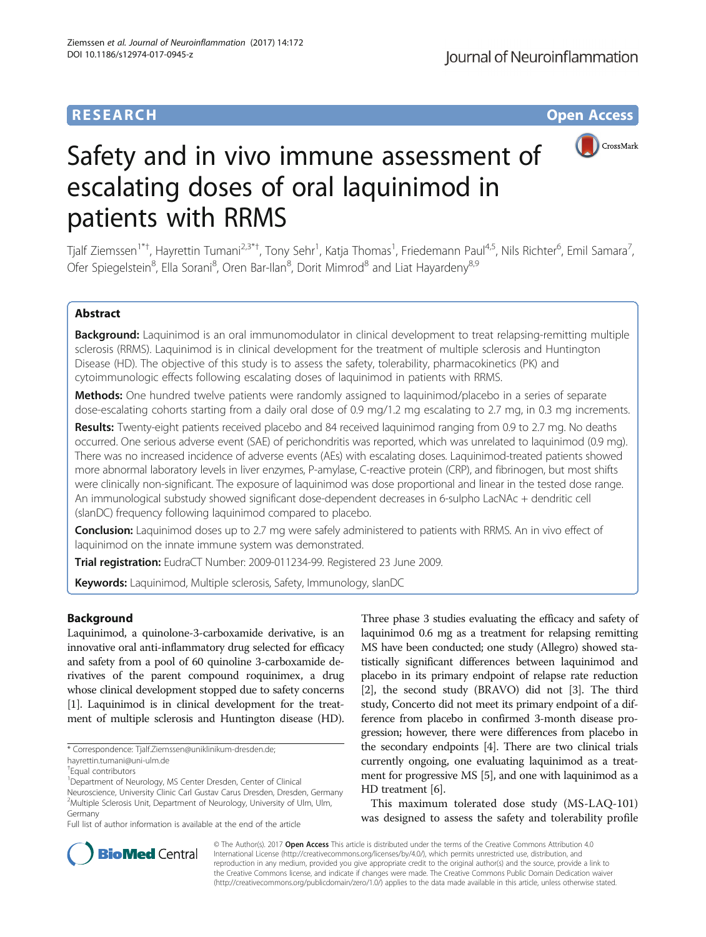# **RESEARCH CHE Open Access**



# Safety and in vivo immune assessment of escalating doses of oral laquinimod in patients with RRMS

Tjalf Ziemssen<sup>1\*†</sup>, Hayrettin Tumani<sup>2,3\*†</sup>, Tony Sehr<sup>1</sup>, Katja Thomas<sup>1</sup>, Friedemann Paul<sup>4,5</sup>, Nils Richter<sup>6</sup>, Emil Samara<sup>7</sup> , Ofer Spiegelstein<sup>8</sup>, Ella Sorani<sup>8</sup>, Oren Bar-Ilan<sup>8</sup>, Dorit Mimrod<sup>8</sup> and Liat Hayardeny<sup>8,9</sup>

# Abstract

Background: Laquinimod is an oral immunomodulator in clinical development to treat relapsing-remitting multiple sclerosis (RRMS). Laquinimod is in clinical development for the treatment of multiple sclerosis and Huntington Disease (HD). The objective of this study is to assess the safety, tolerability, pharmacokinetics (PK) and cytoimmunologic effects following escalating doses of laquinimod in patients with RRMS.

**Methods:** One hundred twelve patients were randomly assigned to laquinimod/placebo in a series of separate dose-escalating cohorts starting from a daily oral dose of 0.9 mg/1.2 mg escalating to 2.7 mg, in 0.3 mg increments.

Results: Twenty-eight patients received placebo and 84 received laquinimod ranging from 0.9 to 2.7 mg. No deaths occurred. One serious adverse event (SAE) of perichondritis was reported, which was unrelated to laquinimod (0.9 mg). There was no increased incidence of adverse events (AEs) with escalating doses. Laquinimod-treated patients showed more abnormal laboratory levels in liver enzymes, P-amylase, C-reactive protein (CRP), and fibrinogen, but most shifts were clinically non-significant. The exposure of laquinimod was dose proportional and linear in the tested dose range. An immunological substudy showed significant dose-dependent decreases in 6-sulpho LacNAc + dendritic cell (slanDC) frequency following laquinimod compared to placebo.

**Conclusion:** Laquinimod doses up to 2.7 mg were safely administered to patients with RRMS. An in vivo effect of laquinimod on the innate immune system was demonstrated.

Trial registration: EudraCT Number: [2009-011234-99.](https://www.clinicaltrialsregister.eu/ctr-search/search?query=laquinimod) Registered 23 June 2009.

Keywords: Laquinimod, Multiple sclerosis, Safety, Immunology, slanDC

# Background

Laquinimod, a quinolone-3-carboxamide derivative, is an innovative oral anti-inflammatory drug selected for efficacy and safety from a pool of 60 quinoline 3-carboxamide derivatives of the parent compound roquinimex, a drug whose clinical development stopped due to safety concerns [[1](#page-8-0)]. Laquinimod is in clinical development for the treatment of multiple sclerosis and Huntington disease (HD). Three phase 3 studies evaluating the efficacy and safety of laquinimod 0.6 mg as a treatment for relapsing remitting MS have been conducted; one study (Allegro) showed statistically significant differences between laquinimod and placebo in its primary endpoint of relapse rate reduction [[2](#page-8-0)], the second study (BRAVO) did not [\[3\]](#page-8-0). The third study, Concerto did not meet its primary endpoint of a difference from placebo in confirmed 3-month disease progression; however, there were differences from placebo in the secondary endpoints [\[4\]](#page-8-0). There are two clinical trials currently ongoing, one evaluating laquinimod as a treatment for progressive MS [[5](#page-8-0)], and one with laquinimod as a HD treatment [\[6\]](#page-8-0).

This maximum tolerated dose study (MS-LAQ-101) was designed to assess the safety and tolerability profile



© The Author(s). 2017 **Open Access** This article is distributed under the terms of the Creative Commons Attribution 4.0 International License [\(http://creativecommons.org/licenses/by/4.0/](http://creativecommons.org/licenses/by/4.0/)), which permits unrestricted use, distribution, and reproduction in any medium, provided you give appropriate credit to the original author(s) and the source, provide a link to the Creative Commons license, and indicate if changes were made. The Creative Commons Public Domain Dedication waiver [\(http://creativecommons.org/publicdomain/zero/1.0/](http://creativecommons.org/publicdomain/zero/1.0/)) applies to the data made available in this article, unless otherwise stated.

<sup>\*</sup> Correspondence: [Tjalf.Ziemssen@uniklinikum-dresden.de](mailto:Tjalf.Ziemssen@uniklinikum-dresden.de);

[hayrettin.tumani@uni-ulm.de](mailto:hayrettin.tumani@uni-ulm.de)

<sup>†</sup> Equal contributors

<sup>&</sup>lt;sup>1</sup> Department of Neurology, MS Center Dresden, Center of Clinical

Neuroscience, University Clinic Carl Gustav Carus Dresden, Dresden, Germany <sup>2</sup>Multiple Sclerosis Unit, Department of Neurology, University of Ulm, Ulm, Germany

Full list of author information is available at the end of the article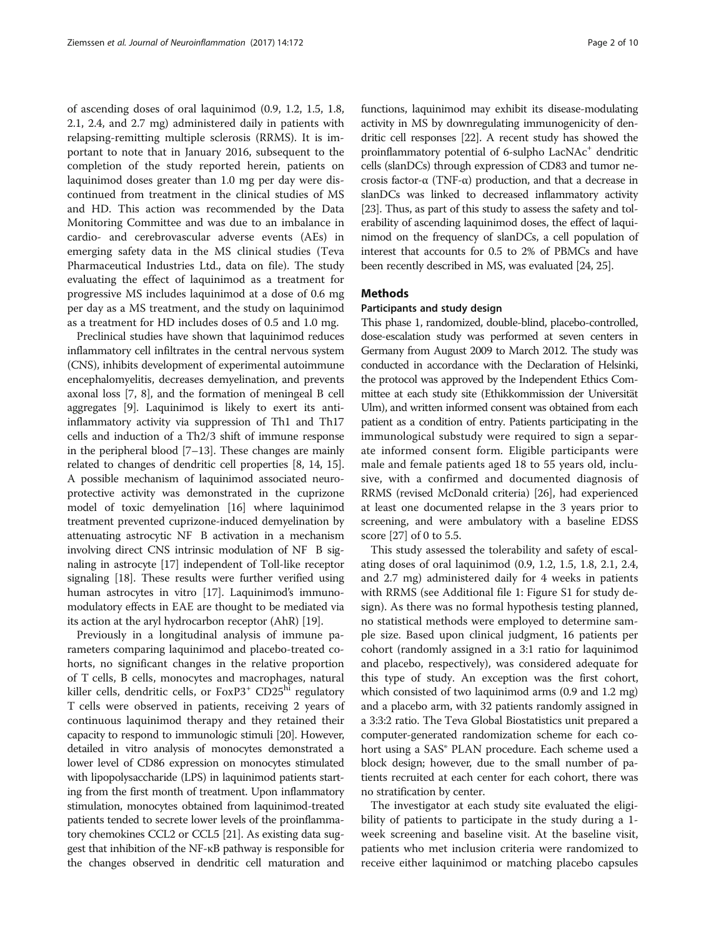of ascending doses of oral laquinimod (0.9, 1.2, 1.5, 1.8, 2.1, 2.4, and 2.7 mg) administered daily in patients with relapsing-remitting multiple sclerosis (RRMS). It is important to note that in January 2016, subsequent to the completion of the study reported herein, patients on laquinimod doses greater than 1.0 mg per day were discontinued from treatment in the clinical studies of MS and HD. This action was recommended by the Data Monitoring Committee and was due to an imbalance in cardio- and cerebrovascular adverse events (AEs) in emerging safety data in the MS clinical studies (Teva Pharmaceutical Industries Ltd., data on file). The study evaluating the effect of laquinimod as a treatment for progressive MS includes laquinimod at a dose of 0.6 mg per day as a MS treatment, and the study on laquinimod as a treatment for HD includes doses of 0.5 and 1.0 mg.

Preclinical studies have shown that laquinimod reduces inflammatory cell infiltrates in the central nervous system (CNS), inhibits development of experimental autoimmune encephalomyelitis, decreases demyelination, and prevents axonal loss [\[7](#page-8-0), [8\]](#page-8-0), and the formation of meningeal B cell aggregates [\[9](#page-8-0)]. Laquinimod is likely to exert its antiinflammatory activity via suppression of Th1 and Th17 cells and induction of a Th2/3 shift of immune response in the peripheral blood [[7](#page-8-0)–[13\]](#page-8-0). These changes are mainly related to changes of dendritic cell properties [[8, 14, 15](#page-8-0)]. A possible mechanism of laquinimod associated neuroprotective activity was demonstrated in the cuprizone model of toxic demyelination [[16](#page-8-0)] where laquinimod treatment prevented cuprizone-induced demyelination by attenuating astrocytic NF B activation in a mechanism involving direct CNS intrinsic modulation of NF B signaling in astrocyte [[17](#page-9-0)] independent of Toll-like receptor signaling [[18](#page-9-0)]. These results were further verified using human astrocytes in vitro [\[17\]](#page-9-0). Laquinimod's immunomodulatory effects in EAE are thought to be mediated via its action at the aryl hydrocarbon receptor (AhR) [\[19\]](#page-9-0).

Previously in a longitudinal analysis of immune parameters comparing laquinimod and placebo-treated cohorts, no significant changes in the relative proportion of T cells, B cells, monocytes and macrophages, natural killer cells, dendritic cells, or FoxP3<sup>+</sup> CD25<sup>hi</sup> regulatory T cells were observed in patients, receiving 2 years of continuous laquinimod therapy and they retained their capacity to respond to immunologic stimuli [\[20\]](#page-9-0). However, detailed in vitro analysis of monocytes demonstrated a lower level of CD86 expression on monocytes stimulated with lipopolysaccharide (LPS) in laquinimod patients starting from the first month of treatment. Upon inflammatory stimulation, monocytes obtained from laquinimod-treated patients tended to secrete lower levels of the proinflammatory chemokines CCL2 or CCL5 [[21](#page-9-0)]. As existing data suggest that inhibition of the NF-κB pathway is responsible for the changes observed in dendritic cell maturation and

functions, laquinimod may exhibit its disease-modulating activity in MS by downregulating immunogenicity of dendritic cell responses [\[22](#page-9-0)]. A recent study has showed the proinflammatory potential of 6-sulpho  $LacNAc^+$  dendritic cells (slanDCs) through expression of CD83 and tumor necrosis factor-α (TNF-α) production, and that a decrease in slanDCs was linked to decreased inflammatory activity [[23](#page-9-0)]. Thus, as part of this study to assess the safety and tolerability of ascending laquinimod doses, the effect of laquinimod on the frequency of slanDCs, a cell population of interest that accounts for 0.5 to 2% of PBMCs and have been recently described in MS, was evaluated [\[24, 25\]](#page-9-0).

# Methods

#### Participants and study design

This phase 1, randomized, double-blind, placebo-controlled, dose-escalation study was performed at seven centers in Germany from August 2009 to March 2012. The study was conducted in accordance with the Declaration of Helsinki, the protocol was approved by the Independent Ethics Committee at each study site (Ethikkommission der Universität Ulm), and written informed consent was obtained from each patient as a condition of entry. Patients participating in the immunological substudy were required to sign a separate informed consent form. Eligible participants were male and female patients aged 18 to 55 years old, inclusive, with a confirmed and documented diagnosis of RRMS (revised McDonald criteria) [[26](#page-9-0)], had experienced at least one documented relapse in the 3 years prior to screening, and were ambulatory with a baseline EDSS score [\[27](#page-9-0)] of 0 to 5.5.

This study assessed the tolerability and safety of escalating doses of oral laquinimod (0.9, 1.2, 1.5, 1.8, 2.1, 2.4, and 2.7 mg) administered daily for 4 weeks in patients with RRMS (see Additional file [1:](#page-7-0) Figure S1 for study design). As there was no formal hypothesis testing planned, no statistical methods were employed to determine sample size. Based upon clinical judgment, 16 patients per cohort (randomly assigned in a 3:1 ratio for laquinimod and placebo, respectively), was considered adequate for this type of study. An exception was the first cohort, which consisted of two laquinimod arms (0.9 and 1.2 mg) and a placebo arm, with 32 patients randomly assigned in a 3:3:2 ratio. The Teva Global Biostatistics unit prepared a computer-generated randomization scheme for each cohort using a SAS<sup>®</sup> PLAN procedure. Each scheme used a block design; however, due to the small number of patients recruited at each center for each cohort, there was no stratification by center.

The investigator at each study site evaluated the eligibility of patients to participate in the study during a 1 week screening and baseline visit. At the baseline visit, patients who met inclusion criteria were randomized to receive either laquinimod or matching placebo capsules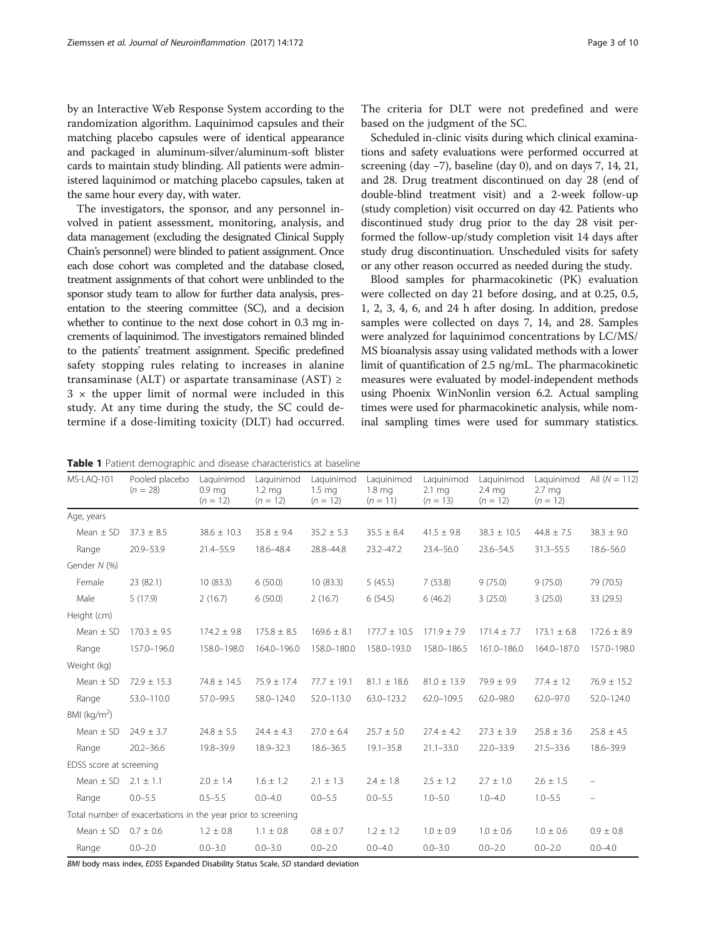<span id="page-2-0"></span>by an Interactive Web Response System according to the randomization algorithm. Laquinimod capsules and their matching placebo capsules were of identical appearance and packaged in aluminum-silver/aluminum-soft blister cards to maintain study blinding. All patients were administered laquinimod or matching placebo capsules, taken at the same hour every day, with water.

The investigators, the sponsor, and any personnel involved in patient assessment, monitoring, analysis, and data management (excluding the designated Clinical Supply Chain's personnel) were blinded to patient assignment. Once each dose cohort was completed and the database closed, treatment assignments of that cohort were unblinded to the sponsor study team to allow for further data analysis, presentation to the steering committee (SC), and a decision whether to continue to the next dose cohort in 0.3 mg increments of laquinimod. The investigators remained blinded to the patients' treatment assignment. Specific predefined safety stopping rules relating to increases in alanine transaminase (ALT) or aspartate transaminase (AST)  $\geq$  $3 \times$  the upper limit of normal were included in this study. At any time during the study, the SC could determine if a dose-limiting toxicity (DLT) had occurred.

Scheduled in-clinic visits during which clinical examinations and safety evaluations were performed occurred at screening (day −7), baseline (day 0), and on days 7, 14, 21, and 28. Drug treatment discontinued on day 28 (end of double-blind treatment visit) and a 2-week follow-up (study completion) visit occurred on day 42. Patients who discontinued study drug prior to the day 28 visit performed the follow-up/study completion visit 14 days after study drug discontinuation. Unscheduled visits for safety or any other reason occurred as needed during the study.

Blood samples for pharmacokinetic (PK) evaluation were collected on day 21 before dosing, and at 0.25, 0.5, 1, 2, 3, 4, 6, and 24 h after dosing. In addition, predose samples were collected on days 7, 14, and 28. Samples were analyzed for laquinimod concentrations by LC/MS/ MS bioanalysis assay using validated methods with a lower limit of quantification of 2.5 ng/mL. The pharmacokinetic measures were evaluated by model-independent methods using Phoenix WinNonlin version 6.2. Actual sampling times were used for pharmacokinetic analysis, while nominal sampling times were used for summary statistics.

Table 1 Patient demographic and disease characteristics at baseline

| MS-LAQ-101              | Pooled placebo<br>$(n = 28)$                                 | Laquinimod<br>0.9 <sub>mg</sub><br>$(n = 12)$ | Laquinimod<br>$1.2 \text{ mg}$<br>$(n = 12)$ | Laquinimod<br>$1.5 \text{ mg}$<br>$(n = 12)$ | Laquinimod<br>1.8 <sub>mq</sub><br>$(n = 11)$ | Laquinimod<br>$2.1 \text{ mg}$<br>$(n = 13)$ | Laquinimod<br>2.4 mg<br>$(n = 12)$ | Laquinimod<br>2.7 <sub>mg</sub><br>$(n = 12)$ | All $(N = 112)$ |
|-------------------------|--------------------------------------------------------------|-----------------------------------------------|----------------------------------------------|----------------------------------------------|-----------------------------------------------|----------------------------------------------|------------------------------------|-----------------------------------------------|-----------------|
| Age, years              |                                                              |                                               |                                              |                                              |                                               |                                              |                                    |                                               |                 |
| Mean $\pm$ SD           | $37.3 \pm 8.5$                                               | $38.6 \pm 10.3$                               | $35.8 \pm 9.4$                               | $35.2 \pm 5.3$                               | $35.5 \pm 8.4$                                | $41.5 \pm 9.8$                               | $38.3 \pm 10.5$                    | $44.8 \pm 7.5$                                | $38.3 \pm 9.0$  |
| Range                   | $20.9 - 53.9$                                                | $21.4 - 55.9$                                 | 18.6-48.4                                    | 28.8-44.8                                    | $23.2 - 47.2$                                 | $23.4 - 56.0$                                | $23.6 - 54.5$                      | $31.3 - 55.5$                                 | $18.6 - 56.0$   |
| Gender N (%)            |                                                              |                                               |                                              |                                              |                                               |                                              |                                    |                                               |                 |
| Female                  | 23 (82.1)                                                    | 10(83.3)                                      | 6(50.0)                                      | 10(83.3)                                     | 5(45.5)                                       | 7(53.8)                                      | 9(75.0)                            | 9(75.0)                                       | 79 (70.5)       |
| Male                    | 5(17.9)                                                      | 2(16.7)                                       | 6(50.0)                                      | 2(16.7)                                      | 6(54.5)                                       | 6(46.2)                                      | 3(25.0)                            | 3(25.0)                                       | 33 (29.5)       |
| Height (cm)             |                                                              |                                               |                                              |                                              |                                               |                                              |                                    |                                               |                 |
| Mean $\pm$ SD           | $170.3 \pm 9.5$                                              | $174.2 \pm 9.8$                               | $175.8 \pm 8.5$                              | $169.6 \pm 8.1$                              | $177.7 \pm 10.5$                              | $171.9 \pm 7.9$                              | $171.4 \pm 7.7$                    | $173.1 \pm 6.8$                               | $172.6 \pm 8.9$ |
| Range                   | 157.0-196.0                                                  | 158.0-198.0                                   | 164.0-196.0                                  | 158.0-180.0                                  | 158.0-193.0                                   | 158.0-186.5                                  | 161.0-186.0                        | 164.0-187.0                                   | 157.0-198.0     |
| Weight (kg)             |                                                              |                                               |                                              |                                              |                                               |                                              |                                    |                                               |                 |
| Mean $\pm$ SD           | $72.9 \pm 15.3$                                              | $74.8 \pm 14.5$                               | $75.9 \pm 17.4$                              | $77.7 \pm 19.1$                              | $81.1 \pm 18.6$                               | $81.0 \pm 13.9$                              | $79.9 \pm 9.9$                     | $77.4 \pm 12$                                 | $76.9 \pm 15.2$ |
| Range                   | 53.0-110.0                                                   | $57.0 - 99.5$                                 | 58.0-124.0                                   | 52.0-113.0                                   | 63.0-123.2                                    | $62.0 - 109.5$                               | $62.0 - 98.0$                      | $62.0 - 97.0$                                 | 52.0-124.0      |
| BMI ( $kg/m2$ )         |                                                              |                                               |                                              |                                              |                                               |                                              |                                    |                                               |                 |
| Mean $\pm$ SD           | $24.9 \pm 3.7$                                               | $24.8 \pm 5.5$                                | $24.4 \pm 4.3$                               | $27.0 \pm 6.4$                               | $25.7 \pm 5.0$                                | $27.4 \pm 4.2$                               | $27.3 \pm 3.9$                     | $25.8 \pm 3.6$                                | $25.8 \pm 4.5$  |
| Range                   | $20.2 - 36.6$                                                | 19.8-39.9                                     | 18.9-32.3                                    | $18.6 - 36.5$                                | $19.1 - 35.8$                                 | $21.1 - 33.0$                                | $22.0 - 33.9$                      | $21.5 - 33.6$                                 | 18.6-39.9       |
| EDSS score at screening |                                                              |                                               |                                              |                                              |                                               |                                              |                                    |                                               |                 |
| Mean $\pm$ SD           | $2.1 \pm 1.1$                                                | $2.0 \pm 1.4$                                 | $1.6 \pm 1.2$                                | $2.1 \pm 1.3$                                | $2.4 \pm 1.8$                                 | $2.5 \pm 1.2$                                | $2.7 \pm 1.0$                      | $2.6 \pm 1.5$                                 |                 |
| Range                   | $0.0 - 5.5$                                                  | $0.5 - 5.5$                                   | $0.0 - 4.0$                                  | $0.0 - 5.5$                                  | $0.0 - 5.5$                                   | $1.0 - 5.0$                                  | $1.0 - 4.0$                        | $1.0 - 5.5$                                   |                 |
|                         | Total number of exacerbations in the year prior to screening |                                               |                                              |                                              |                                               |                                              |                                    |                                               |                 |
| Mean $\pm$ SD           | $0.7 \pm 0.6$                                                | $1.2 \pm 0.8$                                 | $1.1 \pm 0.8$                                | $0.8 \pm 0.7$                                | $1.2 \pm 1.2$                                 | $1.0 \pm 0.9$                                | $1.0 \pm 0.6$                      | $1.0 \pm 0.6$                                 | $0.9 \pm 0.8$   |
| Range                   | $0.0 - 2.0$                                                  | $0.0 - 3.0$                                   | $0.0 - 3.0$                                  | $0.0 - 2.0$                                  | $0.0 - 4.0$                                   | $0.0 - 3.0$                                  | $0.0 - 2.0$                        | $0.0 - 2.0$                                   | $0.0 - 4.0$     |

BMI body mass index, EDSS Expanded Disability Status Scale, SD standard deviation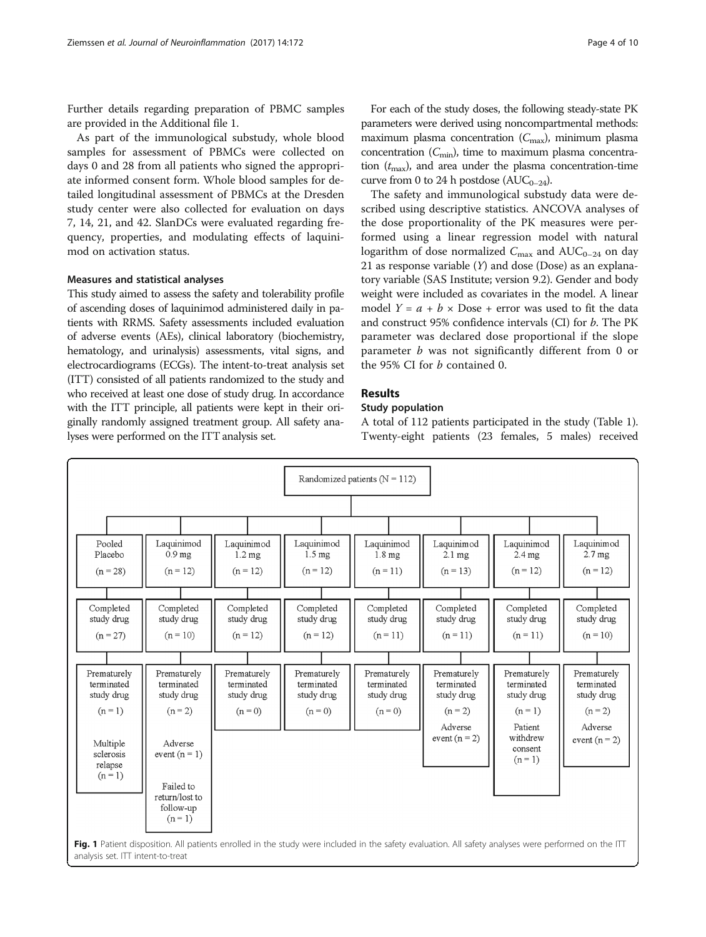<span id="page-3-0"></span>Further details regarding preparation of PBMC samples are provided in the Additional file [1](#page-7-0).

As part of the immunological substudy, whole blood samples for assessment of PBMCs were collected on days 0 and 28 from all patients who signed the appropriate informed consent form. Whole blood samples for detailed longitudinal assessment of PBMCs at the Dresden study center were also collected for evaluation on days 7, 14, 21, and 42. SlanDCs were evaluated regarding frequency, properties, and modulating effects of laquinimod on activation status.

## Measures and statistical analyses

This study aimed to assess the safety and tolerability profile of ascending doses of laquinimod administered daily in patients with RRMS. Safety assessments included evaluation of adverse events (AEs), clinical laboratory (biochemistry, hematology, and urinalysis) assessments, vital signs, and electrocardiograms (ECGs). The intent-to-treat analysis set (ITT) consisted of all patients randomized to the study and who received at least one dose of study drug. In accordance with the ITT principle, all patients were kept in their originally randomly assigned treatment group. All safety analyses were performed on the ITT analysis set.

For each of the study doses, the following steady-state PK parameters were derived using noncompartmental methods: maximum plasma concentration  $(C_{\text{max}})$ , minimum plasma concentration  $(C_{\text{min}})$ , time to maximum plasma concentration  $(t_{\text{max}})$ , and area under the plasma concentration-time curve from 0 to 24 h postdose ( $AUC_{0-24}$ ).

The safety and immunological substudy data were described using descriptive statistics. ANCOVA analyses of the dose proportionality of the PK measures were performed using a linear regression model with natural logarithm of dose normalized  $C_{\text{max}}$  and  $\text{AUC}_{0-24}$  on day 21 as response variable  $(Y)$  and dose (Dose) as an explanatory variable (SAS Institute; version 9.2). Gender and body weight were included as covariates in the model. A linear model  $Y = a + b \times \text{Dose} + \text{error was used to fit the data}$ and construct 95% confidence intervals (CI) for b. The PK parameter was declared dose proportional if the slope parameter  $b$  was not significantly different from 0 or the 95% CI for b contained 0.

# Results

# Study population

A total of 112 patients participated in the study (Table [1](#page-2-0)). Twenty-eight patients (23 females, 5 males) received

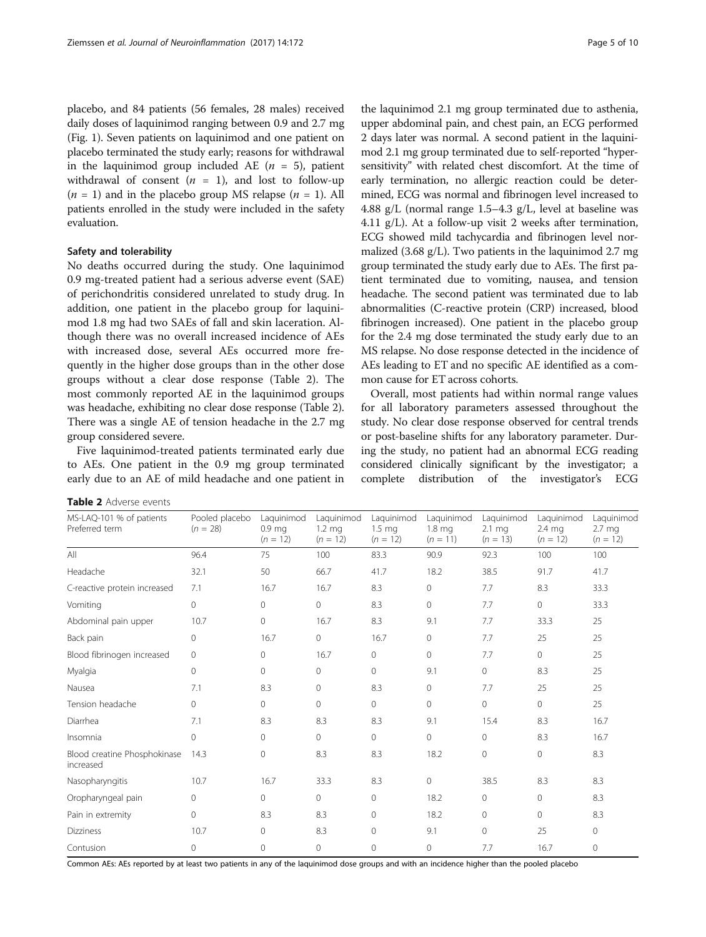placebo, and 84 patients (56 females, 28 males) received daily doses of laquinimod ranging between 0.9 and 2.7 mg (Fig. [1\)](#page-3-0). Seven patients on laquinimod and one patient on placebo terminated the study early; reasons for withdrawal in the laquinimod group included AE  $(n = 5)$ , patient withdrawal of consent  $(n = 1)$ , and lost to follow-up  $(n = 1)$  and in the placebo group MS relapse  $(n = 1)$ . All patients enrolled in the study were included in the safety evaluation.

# Safety and tolerability

No deaths occurred during the study. One laquinimod 0.9 mg-treated patient had a serious adverse event (SAE) of perichondritis considered unrelated to study drug. In addition, one patient in the placebo group for laquinimod 1.8 mg had two SAEs of fall and skin laceration. Although there was no overall increased incidence of AEs with increased dose, several AEs occurred more frequently in the higher dose groups than in the other dose groups without a clear dose response (Table 2). The most commonly reported AE in the laquinimod groups was headache, exhibiting no clear dose response (Table 2). There was a single AE of tension headache in the 2.7 mg group considered severe.

Five laquinimod-treated patients terminated early due to AEs. One patient in the 0.9 mg group terminated early due to an AE of mild headache and one patient in

the laquinimod 2.1 mg group terminated due to asthenia, upper abdominal pain, and chest pain, an ECG performed 2 days later was normal. A second patient in the laquinimod 2.1 mg group terminated due to self-reported "hypersensitivity" with related chest discomfort. At the time of early termination, no allergic reaction could be determined, ECG was normal and fibrinogen level increased to 4.88 g/L (normal range 1.5–4.3 g/L, level at baseline was 4.11 g/L). At a follow-up visit 2 weeks after termination, ECG showed mild tachycardia and fibrinogen level normalized (3.68 g/L). Two patients in the laquinimod 2.7 mg group terminated the study early due to AEs. The first patient terminated due to vomiting, nausea, and tension headache. The second patient was terminated due to lab abnormalities (C-reactive protein (CRP) increased, blood fibrinogen increased). One patient in the placebo group for the 2.4 mg dose terminated the study early due to an MS relapse. No dose response detected in the incidence of AEs leading to ET and no specific AE identified as a common cause for ET across cohorts.

Overall, most patients had within normal range values for all laboratory parameters assessed throughout the study. No clear dose response observed for central trends or post-baseline shifts for any laboratory parameter. During the study, no patient had an abnormal ECG reading considered clinically significant by the investigator; a complete distribution of the investigator's ECG

Table 2 Adverse events

Common AEs: AEs reported by at least two patients in any of the laquinimod dose groups and with an incidence higher than the pooled placebo

| MS-LAQ-101 % of patients<br>Preferred term | Pooled placebo<br>$(n = 28)$ | Laquinimod<br>0.9 <sub>mg</sub><br>$(n = 12)$ | Laquinimod<br>$1.2 \text{ mg}$<br>$(n = 12)$ | Laquinimod<br>$1.5 \text{ mg}$<br>$(n = 12)$ | Laquinimod<br>1.8 <sub>mg</sub><br>$(n = 11)$ | Laquinimod<br>$2.1 \text{ mg}$<br>$(n = 13)$ | Laquinimod<br>$2.4 \text{ mg}$<br>$(n = 12)$ | Laquinimoc<br>2.7 <sub>mg</sub><br>$(n = 12)$ |
|--------------------------------------------|------------------------------|-----------------------------------------------|----------------------------------------------|----------------------------------------------|-----------------------------------------------|----------------------------------------------|----------------------------------------------|-----------------------------------------------|
| All                                        | 96.4                         | 75                                            | 100                                          | 83.3                                         | 90.9                                          | 92.3                                         | 100                                          | 100                                           |
| Headache                                   | 32.1                         | 50                                            | 66.7                                         | 41.7                                         | 18.2                                          | 38.5                                         | 91.7                                         | 41.7                                          |
| C-reactive protein increased               | 7.1                          | 16.7                                          | 16.7                                         | 8.3                                          | $\mathbf{0}$                                  | 7.7                                          | 8.3                                          | 33.3                                          |
| Vomiting                                   | $\Omega$                     | $\circ$                                       | $\circ$                                      | 8.3                                          | $\mathbf{0}$                                  | 7.7                                          | 0                                            | 33.3                                          |
| Abdominal pain upper                       | 10.7                         | $\mathbf 0$                                   | 16.7                                         | 8.3                                          | 9.1                                           | 7.7                                          | 33.3                                         | 25                                            |
| Back pain                                  | $\circ$                      | 16.7                                          | $\mathbf 0$                                  | 16.7                                         | 0                                             | 7.7                                          | 25                                           | 25                                            |
| Blood fibrinogen increased                 | $\circ$                      | $\circ$                                       | 16.7                                         | 0                                            | $\Omega$                                      | 7.7                                          | 0                                            | 25                                            |
| Myalgia                                    | $\mathbf{0}$                 | $\circ$                                       | $\mathbf{0}$                                 | $\mathsf{O}\xspace$                          | 9.1                                           | $\circ$                                      | 8.3                                          | 25                                            |
| Nausea                                     | 7.1                          | 8.3                                           | $\mathbf{0}$                                 | 8.3                                          | $\circ$                                       | 7.7                                          | 25                                           | 25                                            |
| Tension headache                           | $\Omega$                     | $\Omega$                                      | $\circ$                                      | $\circ$                                      | $\Omega$                                      | $\Omega$                                     | 0                                            | 25                                            |
| Diarrhea                                   | 7.1                          | 8.3                                           | 8.3                                          | 8.3                                          | 9.1                                           | 15.4                                         | 8.3                                          | 16.7                                          |
| Insomnia                                   | $\Omega$                     | $\Omega$                                      | $\Omega$                                     | $\circ$                                      | $\mathbf{0}$                                  | 0                                            | 8.3                                          | 16.7                                          |
| Blood creatine Phosphokinase<br>increased  | 14.3                         | $\circ$                                       | 8.3                                          | 8.3                                          | 18.2                                          | $\circ$                                      | $\overline{0}$                               | 8.3                                           |
| Nasopharyngitis                            | 10.7                         | 16.7                                          | 33.3                                         | 8.3                                          | $\mathbf 0$                                   | 38.5                                         | 8.3                                          | 8.3                                           |
| Oropharyngeal pain                         | $\mathbf{0}$                 | 0                                             | $\circ$                                      | $\circ$                                      | 18.2                                          | 0                                            | $\circ$                                      | 8.3                                           |
| Pain in extremity                          | $\circ$                      | 8.3                                           | 8.3                                          | $\mathbf 0$                                  | 18.2                                          | 0                                            | $\overline{0}$                               | 8.3                                           |
| Dizziness                                  | 10.7                         | 0                                             | 8.3                                          | $\mathbf 0$                                  | 9.1                                           | 0                                            | 25                                           | $\mathbf 0$                                   |
| Contusion                                  | $\mathbf{0}$                 | $\circ$                                       | $\mathbf{0}$                                 | $\mathbf 0$                                  | 0                                             | 7.7                                          | 16.7                                         | $\mathbf{0}$                                  |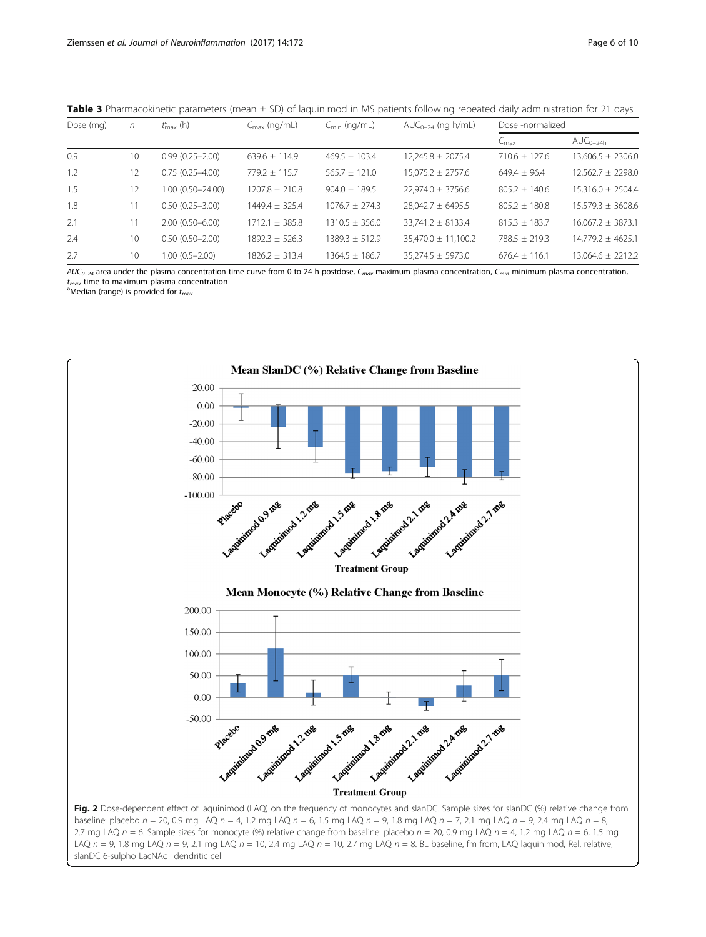| Dose (mg) | n  | $t_{\rm max}^{\rm a}$ (h) | $C_{\text{max}}$ (ng/mL) | $C_{\text{min}}$ (ng/mL) | $AUC_{0-24}$ (ng h/mL)  | Dose -normalized  |                        |  |
|-----------|----|---------------------------|--------------------------|--------------------------|-------------------------|-------------------|------------------------|--|
|           |    |                           |                          |                          |                         | $C_{\rm max}$     | $\mathsf{AUC}_{0-24h}$ |  |
| 0.9       | 10 | $0.99(0.25 - 2.00)$       | $639.6 \pm 114.9$        | $469.5 \pm 103.4$        | $12,245.8 \pm 2075.4$   | $710.6 \pm 127.6$ | $13,606.5 \pm 2306.0$  |  |
| 1.2       | 12 | $0.75(0.25 - 4.00)$       | $779.2 + 115.7$          | $565.7 + 121.0$          | $15.075.2 \pm 2757.6$   | $649.4 + 96.4$    | $12.562.7 \pm 2298.0$  |  |
| 1.5       | 12 | $1.00(0.50 - 24.00)$      | $1207.8 + 210.8$         | $904.0 \pm 189.5$        | $22.974.0 \pm 3756.6$   | $805.2 + 140.6$   | $15.316.0 \pm 2504.4$  |  |
| 1.8       |    | $0.50(0.25 - 3.00)$       | $1449.4 + 325.4$         | $1076.7 + 274.3$         | $28.042.7 \pm 6495.5$   | $805.2 + 180.8$   | $15.579.3 \pm 3608.6$  |  |
| 2.1       |    | $2.00(0.50 - 6.00)$       | $1712.1 + 385.8$         | $1310.5 + 356.0$         | $33.741.2 \pm 8133.4$   | $815.3 \pm 183.7$ | $16.067.2 \pm 3873.1$  |  |
| 2.4       | 10 | $0.50(0.50 - 2.00)$       | $1892.3 + 526.3$         | $1389.3 \pm 512.9$       | $35,470.0 \pm 11,100.2$ | $788.5 + 219.3$   | $14,779.2 \pm 4625.1$  |  |
| 2.7       | 10 | $1.00(0.5 - 2.00)$        | $1826.2 \pm 313.4$       | $1364.5 \pm 186.7$       | $35.274.5 \pm 5973.0$   | $676.4 \pm 116.1$ | 13.064.6 ± 2212.2      |  |

<span id="page-5-0"></span>Table 3 Pharmacokinetic parameters (mean  $\pm$  SD) of laquinimod in MS patients following repeated daily administration for 21 days

 $AUC_{0-24}$  area under the plasma concentration-time curve from 0 to 24 h postdose,  $C_{max}$  maximum plasma concentration,  $C_{min}$  minimum plasma concentration,  $t_{max}$  time to maximum plasma concentration

<sup>a</sup>Median (range) is provided for  $t_{\text{max}}$ 



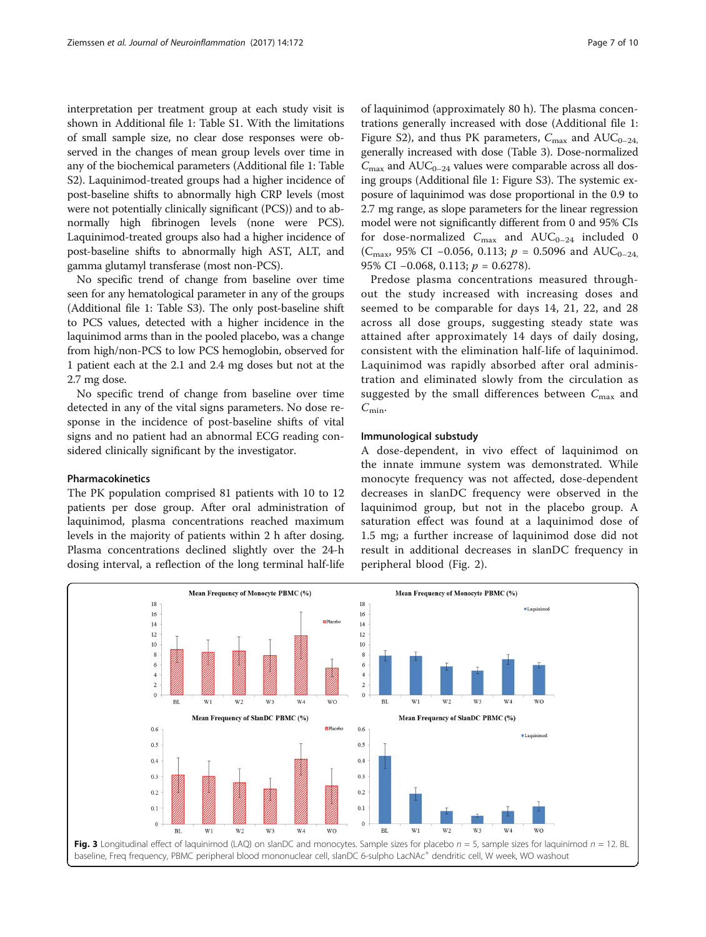<span id="page-6-0"></span>interpretation per treatment group at each study visit is shown in Additional file [1:](#page-7-0) Table S1. With the limitations of small sample size, no clear dose responses were observed in the changes of mean group levels over time in any of the biochemical parameters (Additional file [1](#page-7-0): Table S2). Laquinimod-treated groups had a higher incidence of post-baseline shifts to abnormally high CRP levels (most were not potentially clinically significant (PCS)) and to abnormally high fibrinogen levels (none were PCS). Laquinimod-treated groups also had a higher incidence of post-baseline shifts to abnormally high AST, ALT, and gamma glutamyl transferase (most non-PCS).

No specific trend of change from baseline over time seen for any hematological parameter in any of the groups (Additional file [1](#page-7-0): Table S3). The only post-baseline shift to PCS values, detected with a higher incidence in the laquinimod arms than in the pooled placebo, was a change from high/non-PCS to low PCS hemoglobin, observed for 1 patient each at the 2.1 and 2.4 mg doses but not at the 2.7 mg dose.

No specific trend of change from baseline over time detected in any of the vital signs parameters. No dose response in the incidence of post-baseline shifts of vital signs and no patient had an abnormal ECG reading considered clinically significant by the investigator.

# Pharmacokinetics

The PK population comprised 81 patients with 10 to 12 patients per dose group. After oral administration of laquinimod, plasma concentrations reached maximum levels in the majority of patients within 2 h after dosing. Plasma concentrations declined slightly over the 24-h dosing interval, a reflection of the long terminal half-life

of laquinimod (approximately 80 h). The plasma concentrations generally increased with dose (Additional file [1](#page-7-0): Figure S2), and thus PK parameters,  $C_{\text{max}}$  and AUC<sub>0–24</sub>, generally increased with dose (Table [3](#page-5-0)). Dose-normalized  $C_{\text{max}}$  and AUC<sub>0–24</sub> values were comparable across all dosing groups (Additional file [1:](#page-7-0) Figure S3). The systemic exposure of laquinimod was dose proportional in the 0.9 to 2.7 mg range, as slope parameters for the linear regression model were not significantly different from 0 and 95% CIs for dose-normalized  $C_{\text{max}}$  and  $\text{AUC}_{0-24}$  included 0 (C<sub>max</sub>, 95% CI –0.056, 0.113;  $p = 0.5096$  and AUC<sub>0–24</sub>, 95% CI −0.068, 0.113; *p* = 0.6278).

Predose plasma concentrations measured throughout the study increased with increasing doses and seemed to be comparable for days 14, 21, 22, and 28 across all dose groups, suggesting steady state was attained after approximately 14 days of daily dosing, consistent with the elimination half-life of laquinimod. Laquinimod was rapidly absorbed after oral administration and eliminated slowly from the circulation as suggested by the small differences between  $C_{\text{max}}$  and  $C_{\text{min}}$ .

# Immunological substudy

A dose-dependent, in vivo effect of laquinimod on the innate immune system was demonstrated. While monocyte frequency was not affected, dose-dependent decreases in slanDC frequency were observed in the laquinimod group, but not in the placebo group. A saturation effect was found at a laquinimod dose of 1.5 mg; a further increase of laquinimod dose did not result in additional decreases in slanDC frequency in peripheral blood (Fig. [2\)](#page-5-0).

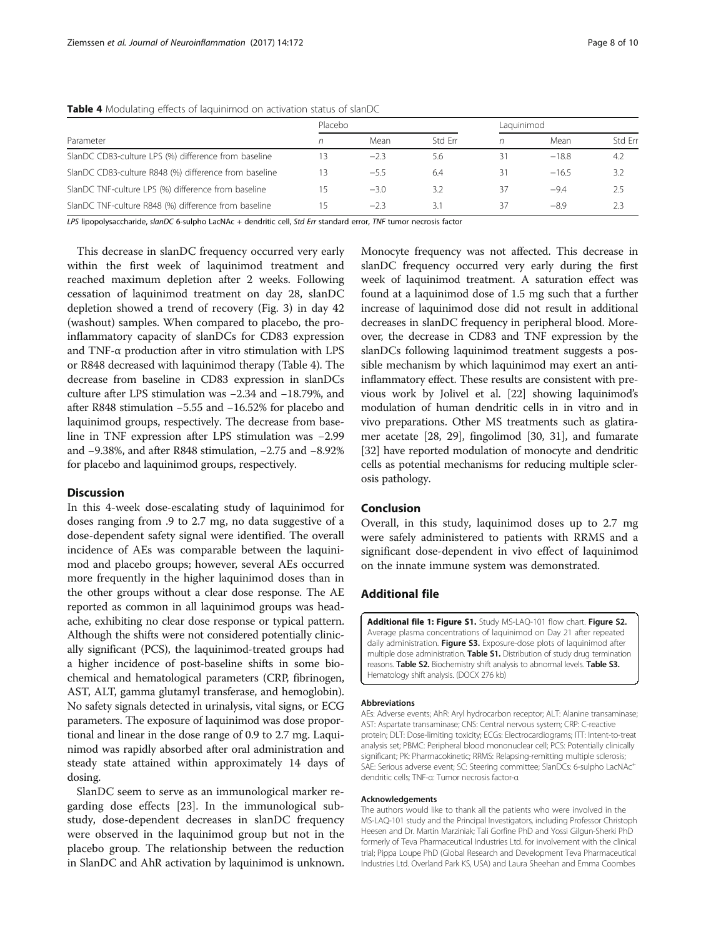|                                                       | Placebo |        |         | Laquinimod |         |         |
|-------------------------------------------------------|---------|--------|---------|------------|---------|---------|
| Parameter                                             |         | Mean   | Std Frr |            | Mean    | Std Frr |
| SlanDC CD83-culture LPS (%) difference from baseline  | 13      | $-2.3$ | 5.6     | 31         | $-18.8$ | 4.2     |
| SlanDC CD83-culture R848 (%) difference from baseline | 13      | $-5.5$ | 6.4     | 31         | $-16.5$ | 3.2     |
| SlanDC TNF-culture LPS (%) difference from baseline   | 15      | $-3.0$ | 3.2     | 37         | $-9.4$  | 2.5     |
| SlanDC TNF-culture R848 (%) difference from baseline  | 15      | $-2.3$ | 3.1     | 37         | $-89$   | 2.3     |

<span id="page-7-0"></span>Table 4 Modulating effects of laquinimod on activation status of slanDC

LPS lipopolysaccharide, slanDC 6-sulpho LacNAc + dendritic cell, Std Err standard error, TNF tumor necrosis factor

This decrease in slanDC frequency occurred very early within the first week of laquinimod treatment and reached maximum depletion after 2 weeks. Following cessation of laquinimod treatment on day 28, slanDC depletion showed a trend of recovery (Fig. [3\)](#page-6-0) in day 42 (washout) samples. When compared to placebo, the proinflammatory capacity of slanDCs for CD83 expression and TNF-α production after in vitro stimulation with LPS or R848 decreased with laquinimod therapy (Table 4). The decrease from baseline in CD83 expression in slanDCs culture after LPS stimulation was −2.34 and −18.79%, and after R848 stimulation −5.55 and −16.52% for placebo and laquinimod groups, respectively. The decrease from baseline in TNF expression after LPS stimulation was −2.99 and −9.38%, and after R848 stimulation, −2.75 and −8.92% for placebo and laquinimod groups, respectively.

# Discussion

In this 4-week dose-escalating study of laquinimod for doses ranging from .9 to 2.7 mg, no data suggestive of a dose-dependent safety signal were identified. The overall incidence of AEs was comparable between the laquinimod and placebo groups; however, several AEs occurred more frequently in the higher laquinimod doses than in the other groups without a clear dose response. The AE reported as common in all laquinimod groups was headache, exhibiting no clear dose response or typical pattern. Although the shifts were not considered potentially clinically significant (PCS), the laquinimod-treated groups had a higher incidence of post-baseline shifts in some biochemical and hematological parameters (CRP, fibrinogen, AST, ALT, gamma glutamyl transferase, and hemoglobin). No safety signals detected in urinalysis, vital signs, or ECG parameters. The exposure of laquinimod was dose proportional and linear in the dose range of 0.9 to 2.7 mg. Laquinimod was rapidly absorbed after oral administration and steady state attained within approximately 14 days of dosing.

SlanDC seem to serve as an immunological marker regarding dose effects [\[23](#page-9-0)]. In the immunological substudy, dose-dependent decreases in slanDC frequency were observed in the laquinimod group but not in the placebo group. The relationship between the reduction in SlanDC and AhR activation by laquinimod is unknown.

Monocyte frequency was not affected. This decrease in slanDC frequency occurred very early during the first week of laquinimod treatment. A saturation effect was found at a laquinimod dose of 1.5 mg such that a further increase of laquinimod dose did not result in additional decreases in slanDC frequency in peripheral blood. Moreover, the decrease in CD83 and TNF expression by the slanDCs following laquinimod treatment suggests a possible mechanism by which laquinimod may exert an antiinflammatory effect. These results are consistent with previous work by Jolivel et al. [\[22\]](#page-9-0) showing laquinimod's modulation of human dendritic cells in in vitro and in vivo preparations. Other MS treatments such as glatiramer acetate [[28](#page-9-0), [29\]](#page-9-0), fingolimod [[30](#page-9-0), [31\]](#page-9-0), and fumarate [[32](#page-9-0)] have reported modulation of monocyte and dendritic cells as potential mechanisms for reducing multiple sclerosis pathology.

# Conclusion

Overall, in this study, laquinimod doses up to 2.7 mg were safely administered to patients with RRMS and a significant dose-dependent in vivo effect of laquinimod on the innate immune system was demonstrated.

# Additional file

[Additional file 1: Figure S1.](dx.doi.org/10.1186/s12974-017-0945-z) Study MS-LAQ-101 flow chart. Figure S2. Average plasma concentrations of laquinimod on Day 21 after repeated daily administration. Figure S3. Exposure-dose plots of laquinimod after multiple dose administration. **Table S1.** Distribution of study drug termination reasons. Table S2. Biochemistry shift analysis to abnormal levels. Table S3. Hematology shift analysis. (DOCX 276 kb)

#### Abbreviations

AEs: Adverse events; AhR: Aryl hydrocarbon receptor; ALT: Alanine transaminase; AST: Aspartate transaminase; CNS: Central nervous system; CRP: C-reactive protein; DLT: Dose-limiting toxicity; ECGs: Electrocardiograms; ITT: Intent-to-treat analysis set; PBMC: Peripheral blood mononuclear cell; PCS: Potentially clinically significant; PK: Pharmacokinetic; RRMS: Relapsing-remitting multiple sclerosis; SAE: Serious adverse event; SC: Steering committee; SlanDCs: 6-sulpho LacNAc+ dendritic cells; TNF-α: Tumor necrosis factor-α

#### Acknowledgements

The authors would like to thank all the patients who were involved in the MS-LAQ-101 study and the Principal Investigators, including Professor Christoph Heesen and Dr. Martin Marziniak; Tali Gorfine PhD and Yossi Gilgun-Sherki PhD formerly of Teva Pharmaceutical Industries Ltd. for involvement with the clinical trial; Pippa Loupe PhD (Global Research and Development Teva Pharmaceutical Industries Ltd. Overland Park KS, USA) and Laura Sheehan and Emma Coombes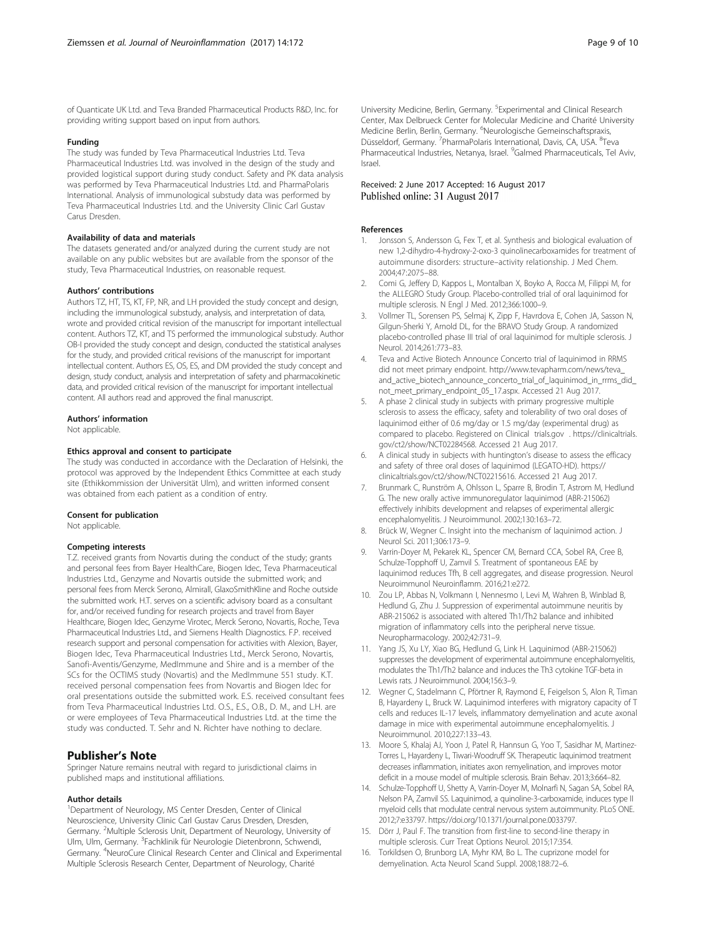<span id="page-8-0"></span>of Quanticate UK Ltd. and Teva Branded Pharmaceutical Products R&D, Inc. for providing writing support based on input from authors.

#### Funding

The study was funded by Teva Pharmaceutical Industries Ltd. Teva Pharmaceutical Industries Ltd. was involved in the design of the study and provided logistical support during study conduct. Safety and PK data analysis was performed by Teva Pharmaceutical Industries Ltd. and PharmaPolaris International. Analysis of immunological substudy data was performed by Teva Pharmaceutical Industries Ltd. and the University Clinic Carl Gustav Carus Dresden.

## Availability of data and materials

The datasets generated and/or analyzed during the current study are not available on any public websites but are available from the sponsor of the study, Teva Pharmaceutical Industries, on reasonable request.

## Authors' contributions

Authors TZ, HT, TS, KT, FP, NR, and LH provided the study concept and design, including the immunological substudy, analysis, and interpretation of data, wrote and provided critical revision of the manuscript for important intellectual content. Authors TZ, KT, and TS performed the immunological substudy. Author OB-I provided the study concept and design, conducted the statistical analyses for the study, and provided critical revisions of the manuscript for important intellectual content. Authors ES, OS, ES, and DM provided the study concept and design, study conduct, analysis and interpretation of safety and pharmacokinetic data, and provided critical revision of the manuscript for important intellectual content. All authors read and approved the final manuscript.

## Authors' information

Not applicable.

#### Ethics approval and consent to participate

The study was conducted in accordance with the Declaration of Helsinki, the protocol was approved by the Independent Ethics Committee at each study site (Ethikkommission der Universität Ulm), and written informed consent was obtained from each patient as a condition of entry.

#### Consent for publication

Not applicable.

#### Competing interests

T.Z. received grants from Novartis during the conduct of the study; grants and personal fees from Bayer HealthCare, Biogen Idec, Teva Pharmaceutical Industries Ltd., Genzyme and Novartis outside the submitted work; and personal fees from Merck Serono, Almirall, GlaxoSmithKline and Roche outside the submitted work. H.T. serves on a scientific advisory board as a consultant for, and/or received funding for research projects and travel from Bayer Healthcare, Biogen Idec, Genzyme Virotec, Merck Serono, Novartis, Roche, Teva Pharmaceutical Industries Ltd., and Siemens Health Diagnostics. F.P. received research support and personal compensation for activities with Alexion, Bayer, Biogen Idec, Teva Pharmaceutical Industries Ltd., Merck Serono, Novartis, Sanofi-Aventis/Genzyme, MedImmune and Shire and is a member of the SCs for the OCTIMS study (Novartis) and the MedImmune 551 study. K.T. received personal compensation fees from Novartis and Biogen Idec for oral presentations outside the submitted work. E.S. received consultant fees from Teva Pharmaceutical Industries Ltd. O.S., E.S., O.B., D. M., and L.H. are or were employees of Teva Pharmaceutical Industries Ltd. at the time the study was conducted. T. Sehr and N. Richter have nothing to declare.

# Publisher's Note

Springer Nature remains neutral with regard to jurisdictional claims in published maps and institutional affiliations.

## Author details

<sup>1</sup>Department of Neurology, MS Center Dresden, Center of Clinical Neuroscience, University Clinic Carl Gustav Carus Dresden, Dresden, Germany. <sup>2</sup>Multiple Sclerosis Unit, Department of Neurology, University of Ulm, Ulm, Germany. <sup>3</sup>Fachklinik für Neurologie Dietenbronn, Schwendi, Germany. <sup>4</sup>NeuroCure Clinical Research Center and Clinical and Experimental Multiple Sclerosis Research Center, Department of Neurology, Charité

University Medicine, Berlin, Germany. <sup>5</sup> Experimental and Clinical Research Center, Max Delbrueck Center for Molecular Medicine and Charité University Medicine Berlin, Berlin, Germany. <sup>6</sup>Neurologische Gemeinschaftspraxis Düsseldorf, Germany. <sup>7</sup> PharmaPolaris International, Davis, CA, USA. <sup>8</sup> Teva Pharmaceutical Industries, Netanya, Israel. <sup>9</sup>Galmed Pharmaceuticals, Tel Aviv, Israel.

#### Received: 2 June 2017 Accepted: 16 August 2017 Published online: 31 August 2017

#### References

- 1. Jonsson S, Andersson G, Fex T, et al. Synthesis and biological evaluation of new 1,2-dihydro-4-hydroxy-2-oxo-3 quinolinecarboxamides for treatment of autoimmune disorders: structure–activity relationship. J Med Chem. 2004;47:2075–88.
- 2. Comi G, Jeffery D, Kappos L, Montalban X, Boyko A, Rocca M, Filippi M, for the ALLEGRO Study Group. Placebo-controlled trial of oral laquinimod for multiple sclerosis. N Engl J Med. 2012;366:1000–9.
- 3. Vollmer TL, Sorensen PS, Selmaj K, Zipp F, Havrdova E, Cohen JA, Sasson N, Gilgun-Sherki Y, Arnold DL, for the BRAVO Study Group. A randomized placebo-controlled phase III trial of oral laquinimod for multiple sclerosis. J Neurol. 2014;261:773–83.
- 4. Teva and Active Biotech Announce Concerto trial of laquinimod in RRMS did not meet primary endpoint. [http://www.tevapharm.com/news/teva\\_](http://www.tevapharm.com/news/teva_and_active_biotech_announce_concerto_trial_of_laquinimod_in_rrms_did_not_meet_primary_endpoint_05_17.aspx) [and\\_active\\_biotech\\_announce\\_concerto\\_trial\\_of\\_laquinimod\\_in\\_rrms\\_did\\_](http://www.tevapharm.com/news/teva_and_active_biotech_announce_concerto_trial_of_laquinimod_in_rrms_did_not_meet_primary_endpoint_05_17.aspx) [not\\_meet\\_primary\\_endpoint\\_05\\_17.aspx](http://www.tevapharm.com/news/teva_and_active_biotech_announce_concerto_trial_of_laquinimod_in_rrms_did_not_meet_primary_endpoint_05_17.aspx). Accessed 21 Aug 2017.
- 5. A phase 2 clinical study in subjects with primary progressive multiple sclerosis to assess the efficacy, safety and tolerability of two oral doses of laquinimod either of 0.6 mg/day or 1.5 mg/day (experimental drug) as compared to placebo. Registered on Clinical [trials.gov](http://trials.gov) . [https://clinicaltrials.](https://clinicaltrials.gov/ct2/show/NCT02284568) [gov/ct2/show/NCT02284568.](https://clinicaltrials.gov/ct2/show/NCT02284568) Accessed 21 Aug 2017.
- 6. A clinical study in subjects with huntington's disease to assess the efficacy and safety of three oral doses of laquinimod (LEGATO-HD). [https://](https://clinicaltrials.gov/ct2/show/NCT02215616) [clinicaltrials.gov/ct2/show/NCT02215616](https://clinicaltrials.gov/ct2/show/NCT02215616). Accessed 21 Aug 2017.
- 7. Brunmark C, Runström A, Ohlsson L, Sparre B, Brodin T, Astrom M, Hedlund G. The new orally active immunoregulator laquinimod (ABR-215062) effectively inhibits development and relapses of experimental allergic encephalomyelitis. J Neuroimmunol. 2002;130:163–72.
- 8. Brück W, Wegner C. Insight into the mechanism of laquinimod action. J Neurol Sci. 2011;306:173–9.
- 9. Varrin-Doyer M, Pekarek KL, Spencer CM, Bernard CCA, Sobel RA, Cree B, Schulze-Topphoff U, Zamvil S. Treatment of spontaneous EAE by laquinimod reduces Tfh, B cell aggregates, and disease progression. Neurol Neuroimmunol Neuroinflamm. 2016;21:e272.
- 10. Zou LP, Abbas N, Volkmann I, Nennesmo I, Levi M, Wahren B, Winblad B, Hedlund G, Zhu J. Suppression of experimental autoimmune neuritis by ABR-215062 is associated with altered Th1/Th2 balance and inhibited migration of inflammatory cells into the peripheral nerve tissue. Neuropharmacology. 2002;42:731–9.
- 11. Yang JS, Xu LY, Xiao BG, Hedlund G, Link H. Laquinimod (ABR-215062) suppresses the development of experimental autoimmune encephalomyelitis, modulates the Th1/Th2 balance and induces the Th3 cytokine TGF-beta in Lewis rats. J Neuroimmunol. 2004;156:3–9.
- 12. Wegner C, Stadelmann C, Pförtner R, Raymond E, Feigelson S, Alon R, Timan B, Hayardeny L, Bruck W. Laquinimod interferes with migratory capacity of T cells and reduces IL-17 levels, inflammatory demyelination and acute axonal damage in mice with experimental autoimmune encephalomyelitis. J Neuroimmunol. 2010;227:133–43.
- 13. Moore S, Khalaj AJ, Yoon J, Patel R, Hannsun G, Yoo T, Sasidhar M, Martinez-Torres L, Hayardeny L, Tiwari-Woodruff SK. Therapeutic laquinimod treatment decreases inflammation, initiates axon remyelination, and improves motor deficit in a mouse model of multiple sclerosis. Brain Behav. 2013;3:664–82.
- 14. Schulze-Topphoff U, Shetty A, Varrin-Doyer M, Molnarfi N, Sagan SA, Sobel RA, Nelson PA, Zamvil SS. Laquinimod, a quinoline-3-carboxamide, induces type II myeloid cells that modulate central nervous system autoimmunity. PLoS ONE. 2012;7:e33797. [https://doi.org/10.1371/journal.pone.0033797](http://dx.doi.org/10.1371/journal.pone.0033797).
- 15. Dörr J, Paul F. The transition from first-line to second-line therapy in multiple sclerosis. Curr Treat Options Neurol. 2015;17:354.
- 16. Torkildsen O, Brunborg LA, Myhr KM, Bo L. The cuprizone model for demyelination. Acta Neurol Scand Suppl. 2008;188:72–6.